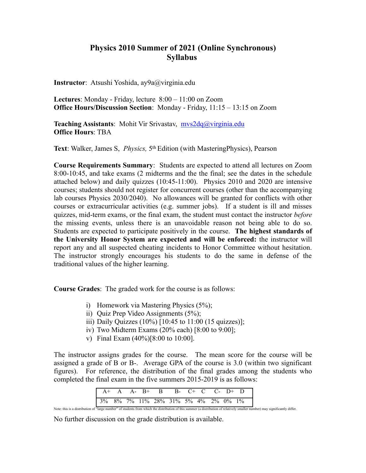## **Physics 2010 Summer of 2021 (Online Synchronous) Syllabus**

**Instructor**: Atsushi Yoshida, ay9a@virginia.edu

**Lectures**: Monday - Friday, lecture 8:00 – 11:00 on Zoom **Office Hours/Discussion Section**: Monday - Friday, 11:15 – 13:15 on Zoom

**Teaching Assistants**: Mohit Vir Srivastav, mvs2dq@virginia.edu **Office Hours**: TBA

**Text**: Walker, James S, *Physics,* 5th Edition (with MasteringPhysics), Pearson

**Course Requirements Summary**: Students are expected to attend all lectures on Zoom 8:00-10:45, and take exams (2 midterms and the the final; see the dates in the schedule attached below) and daily quizzes (10:45-11:00). Physics 2010 and 2020 are intensive courses; students should not register for concurrent courses (other than the accompanying lab courses Physics 2030/2040). No allowances will be granted for conflicts with other courses or extracurricular activities (e.g. summer jobs). If a student is ill and misses quizzes, mid-term exams, or the final exam, the student must contact the instructor *before* the missing events, unless there is an unavoidable reason not being able to do so. Students are expected to participate positively in the course. **The highest standards of the University Honor System are expected and will be enforced:** the instructor will report any and all suspected cheating incidents to Honor Committee without hesitation. The instructor strongly encourages his students to do the same in defense of the traditional values of the higher learning.

**Course Grades**: The graded work for the course is as follows:

- i) Homework via Mastering Physics (5%);
- ii) Quiz Prep Video Assignments (5%);
- iii) Daily Quizzes (10%) [10:45 to 11:00 (15 quizzes)];
- iv) Two Midterm Exams (20% each) [8:00 to 9:00];
- v) Final Exam (40%)[8:00 to 10:00].

The instructor assigns grades for the course. The mean score for the course will be assigned a grade of B or B-. Average GPA of the course is 3.0 (within two significant figures). For reference, the distribution of the final grades among the students who completed the final exam in the five summers 2015-2019 is as follows:

No further discussion on the grade distribution is available.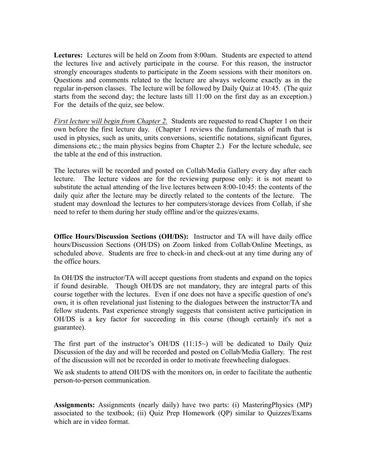**Lectures:** Lectures will be held on Zoom from 8:00am. Students are expected to attend the lectures live and actively participate in the course. For this reason, the instructor strongly encourages students to participate in the Zoom sessions with their monitors on. Questions and comments related to the lecture are always welcome exactly as in the regular in-person classes. The lecture will be followed by Daily Quiz at 10:45. (The quiz starts from the second day; the lecture lasts till 11:00 on the first day as an exception.) For the details of the quiz, see below.

*First lecture will begin from Chapter 2.* Students are requested to read Chapter 1 on their own before the first lecture day. (Chapter 1 reviews the fundamentals of math that is used in physics, such as units, units conversions, scientific notations, significant figures, dimensions etc.; the main physics begins from Chapter 2.) For the lecture schedule, see the table at the end of this instruction.

The lectures will be recorded and posted on Collab/Media Gallery every day after each lecture. The lecture videos are for the reviewing purpose only: it is not meant to substitute the actual attending of the live lectures between 8:00-10:45: the contents of the daily quiz after the lecture may be directly related to the contents of the lecture. The student may download the lectures to her computers/storage devices from Collab, if she need to refer to them during her study offline and/or the quizzes/exams.

**Office Hours/Discussion Sections (OH/DS):** Instructor and TA will have daily office hours/Discussion Sections (OH/DS) on Zoom linked from Collab/Online Meetings, as scheduled above. Students are free to check-in and check-out at any time during any of the office hours.

In OH/DS the instructor/TA will accept questions from students and expand on the topics if found desirable. Though OH/DS are not mandatory, they are integral parts of this course together with the lectures. Even if one does not have a specific question of one's own, it is often revelational just listening to the dialogues between the instructor/TA and fellow students. Past experience strongly suggests that consistent active participation in OH/DS is a key factor for succeeding in this course (though certainly it's not a guarantee).

The first part of the instructor's  $OH/DS$  (11:15~) will be dedicated to Daily Quiz Discussion of the day and will be recorded and posted on Collab/Media Gallery. The rest of the discussion will not be recorded in order to motivate freewheeling dialogues.

We ask students to attend OH/DS with the monitors on, in order to facilitate the authentic person-to-person communication.

**Assignments:** Assignments (nearly daily) have two parts: (i) MasteringPhysics (MP) associated to the textbook; (ii) Quiz Prep Homework (QP) similar to Quizzes/Exams which are in video format.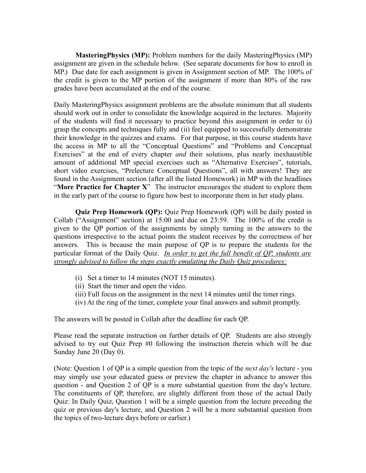**MasteringPhysics (MP):** Problem numbers for the daily MasteringPhysics (MP) assignment are given in the schedule below. (See separate documents for how to enroll in MP.) Due date for each assignment is given in Assignment section of MP. The 100% of the credit is given to the MP portion of the assignment if more than 80% of the raw grades have been accumulated at the end of the course.

Daily MasteringPhysics assignment problems are the absolute minimum that all students should work out in order to consolidate the knowledge acquired in the lectures. Majority of the students will find it necessary to practice beyond this assignment in order to (i) grasp the concepts and techniques fully and (ii) feel equipped to successfully demonstrate their knowledge in the quizzes and exams. For that purpose, in this course students have the access in MP to all the "Conceptual Questions" and "Problems and Conceptual Exercises" at the end of every chapter *and* their solutions, plus nearly inexhaustible amount of additional MP special exercises such as "Alternative Exercises", tutorials, short video exercises, "Prelecture Conceptual Questions", all with answers! They are found in the Assignment section (after all the listed Homework) in MP with the headlines "**More Practice for Chapter X**" The instructor encourages the student to explore them in the early part of the course to figure how best to incorporate them in her study plans.

**Quiz Prep Homework (QP):** Quiz Prep Homework (QP) will be daily posted in Collab ("Assignment" section) at 15:00 and due on 23:59.The 100% of the credit is given to the QP portion of the assignments by simply turning in the answers to the questions irrespective to the actual points the student receives by the correctness of her answers. This is because the main purpose of QP is to prepare the students for the particular format of the Daily Quiz. *In order to get the full benefit of QP, students are strongly advised to follow the steps exactly emulating the Daily Quiz procedures:*

- (i) Set a timer to 14 minutes (NOT 15 minutes).
- (ii) Start the timer and open the video.
- (iii) Full focus on the assignment in the next 14 minutes until the timer rings.
- (iv) At the ring of the timer, complete your final answers and submit promptly.

The answers will be posted in Collab after the deadline for each QP.

Please read the separate instruction on further details of QP. Students are also strongly advised to try out Quiz Prep #0 following the instruction therein which will be due Sunday June 20 (Day 0).

(Note: Question 1 of QP is a simple question from the topic of the *next day's* lecture - you may simply use your educated guess or preview the chapter in advance to answer this question - and Question 2 of QP is a more substantial question from the day's lecture. The constituents of QP, therefore, are slightly different from those of the actual Daily Quiz: In Daily Quiz, Question 1 will be a simple question from the lecture preceding the quiz or previous day's lecture, and Question 2 will be a more substantial question from the topics of two-lecture days before or earlier.)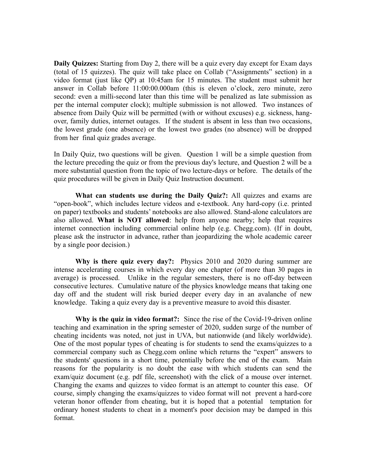**Daily Quizzes:** Starting from Day 2, there will be a quiz every day except for Exam days (total of 15 quizzes). The quiz will take place on Collab ("Assignments" section) in a video format (just like QP) at 10:45am for 15 minutes. The student must submit her answer in Collab before 11:00:00.000am (this is eleven o'clock, zero minute, zero second: even a milli-second later than this time will be penalized as late submission as per the internal computer clock); multiple submission is not allowed. Two instances of absence from Daily Quiz will be permitted (with or without excuses) e.g. sickness, hangover, family duties, internet outages. If the student is absent in less than two occasions, the lowest grade (one absence) or the lowest two grades (no absence) will be dropped from her final quiz grades average.

In Daily Quiz, two questions will be given. Question 1 will be a simple question from the lecture preceding the quiz or from the previous day's lecture, and Question 2 will be a more substantial question from the topic of two lecture-days or before. The details of the quiz procedures will be given in Daily Quiz Instruction document.

**What can students use during the Daily Quiz?:** All quizzes and exams are "open-book", which includes lecture videos and e-textbook. Any hard-copy (i.e. printed on paper) textbooks and students' notebooks are also allowed. Stand-alone calculators are also allowed. **What is NOT allowed**: help from anyone nearby; help that requires internet connection including commercial online help (e.g. Chegg.com). (If in doubt, please ask the instructor in advance, rather than jeopardizing the whole academic career by a single poor decision.)

**Why is there quiz every day?:** Physics 2010 and 2020 during summer are intense accelerating courses in which every day one chapter (of more than 30 pages in average) is processed. Unlike in the regular semesters, there is no off-day between consecutive lectures. Cumulative nature of the physics knowledge means that taking one day off and the student will risk buried deeper every day in an avalanche of new knowledge. Taking a quiz every day is a preventive measure to avoid this disaster.

**Why is the quiz in video format?:** Since the rise of the Covid-19-driven online teaching and examination in the spring semester of 2020, sudden surge of the number of cheating incidents was noted, not just in UVA, but nationwide (and likely worldwide). One of the most popular types of cheating is for students to send the exams/quizzes to a commercial company such as Chegg.com online which returns the "expert" answers to the students' questions in a short time, potentially before the end of the exam. Main reasons for the popularity is no doubt the ease with which students can send the exam/quiz document (e.g. pdf file, screenshot) with the click of a mouse over internet. Changing the exams and quizzes to video format is an attempt to counter this ease. Of course, simply changing the exams/quizzes to video format will not prevent a hard-core veteran honor offender from cheating, but it is hoped that a potential temptation for ordinary honest students to cheat in a moment's poor decision may be damped in this format.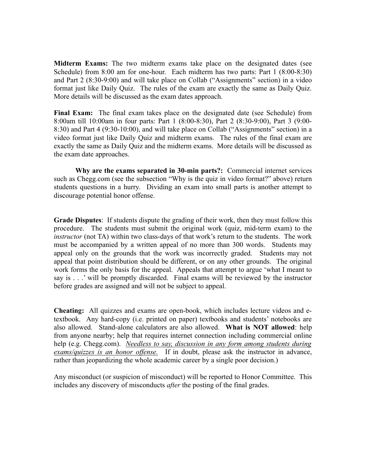**Midterm Exams:** The two midterm exams take place on the designated dates (see Schedule) from 8:00 am for one-hour. Each midterm has two parts: Part 1 (8:00-8:30) and Part 2 (8:30-9:00) and will take place on Collab ("Assignments" section) in a video format just like Daily Quiz. The rules of the exam are exactly the same as Daily Quiz. More details will be discussed as the exam dates approach.

**Final Exam:** The final exam takes place on the designated date (see Schedule) from 8:00am till 10:00am in four parts: Part 1 (8:00-8:30), Part 2 (8:30-9:00), Part 3 (9:00- 8:30) and Part 4 (9:30-10:00), and will take place on Collab ("Assignments" section) in a video format just like Daily Quiz and midterm exams. The rules of the final exam are exactly the same as Daily Quiz and the midterm exams. More details will be discussed as the exam date approaches.

**Why are the exams separated in 30-min parts?:** Commercial internet services such as Chegg.com (see the subsection "Why is the quiz in video format?" above) return students questions in a hurry. Dividing an exam into small parts is another attempt to discourage potential honor offense.

**Grade Disputes**: If students dispute the grading of their work, then they must follow this procedure. The students must submit the original work (quiz, mid-term exam) to the *instructor* (not TA) within two class-days of that work's return to the students. The work must be accompanied by a written appeal of no more than 300 words. Students may appeal only on the grounds that the work was incorrectly graded. Students may not appeal that point distribution should be different, or on any other grounds. The original work forms the only basis for the appeal. Appeals that attempt to argue 'what I meant to say is . . .' will be promptly discarded. Final exams will be reviewed by the instructor before grades are assigned and will not be subject to appeal.

**Cheating:** All quizzes and exams are open-book, which includes lecture videos and etextbook. Any hard-copy (i.e. printed on paper) textbooks and students' notebooks are also allowed. Stand-alone calculators are also allowed. **What is NOT allowed**: help from anyone nearby; help that requires internet connection including commercial online help (e.g. Chegg.com). *Needless to say, discussion in any form among students during exams/quizzes is an honor offense.* If in doubt, please ask the instructor in advance, rather than jeopardizing the whole academic career by a single poor decision.)

Any misconduct (or suspicion of misconduct) will be reported to Honor Committee. This includes any discovery of misconducts *after* the posting of the final grades.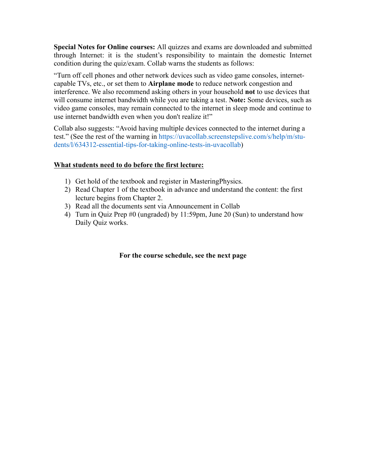**Special Notes for Online courses:** All quizzes and exams are downloaded and submitted through Internet: it is the student's responsibility to maintain the domestic Internet condition during the quiz/exam. Collab warns the students as follows:

"Turn off cell phones and other network devices such as video game consoles, internetcapable TVs, etc., or set them to **Airplane mode** to reduce network congestion and interference. We also recommend asking others in your household **not** to use devices that will consume internet bandwidth while you are taking a test. **Note:** Some devices, such as video game consoles, may remain connected to the internet in sleep mode and continue to use internet bandwidth even when you don't realize it!"

Collab also suggests: "Avoid having multiple devices connected to the internet during a test." (See the rest of the warning in https://uvacollab.screenstepslive.com/s/help/m/students/l/634312-essential-tips-for-taking-online-tests-in-uvacollab)

## **What students need to do before the first lecture:**

- 1) Get hold of the textbook and register in MasteringPhysics.
- 2) Read Chapter 1 of the textbook in advance and understand the content: the first lecture begins from Chapter 2.
- 3) Read all the documents sent via Announcement in Collab
- 4) Turn in Quiz Prep #0 (ungraded) by 11:59pm, June 20 (Sun) to understand how Daily Quiz works.

## **For the course schedule, see the next page**